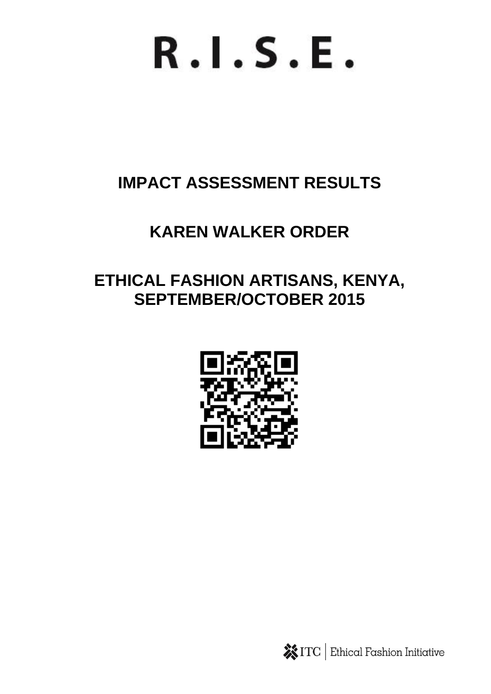# $R.I.S.E.$

## **IMPACT ASSESSMENT RESULTS**

## **KAREN WALKER ORDER**

### **ETHICAL FASHION ARTISANS, KENYA, SEPTEMBER/OCTOBER 2015**



**※ITC** Ethical Fashion Initiative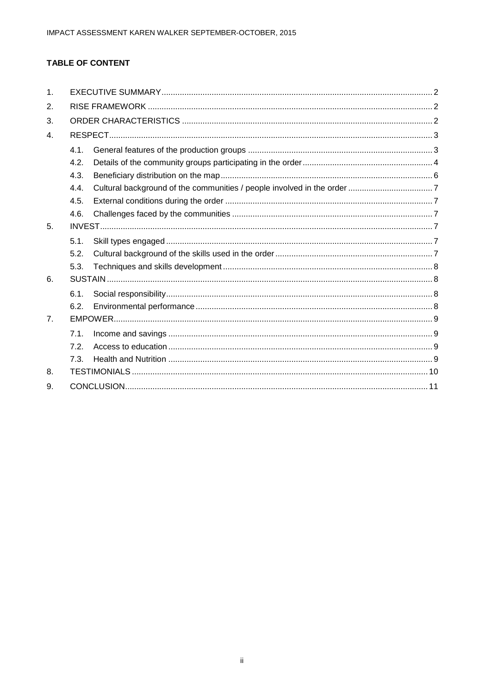#### **TABLE OF CONTENT**

| $\mathbf{1}$ . |      |  |  |  |  |  |
|----------------|------|--|--|--|--|--|
| 2.             |      |  |  |  |  |  |
| 3.             |      |  |  |  |  |  |
| 4.             |      |  |  |  |  |  |
|                | 4.1. |  |  |  |  |  |
|                | 4.2. |  |  |  |  |  |
|                | 4.3. |  |  |  |  |  |
|                | 4.4. |  |  |  |  |  |
|                | 4.5. |  |  |  |  |  |
|                | 4.6. |  |  |  |  |  |
| 5.             |      |  |  |  |  |  |
|                | 5.1. |  |  |  |  |  |
|                | 5.2. |  |  |  |  |  |
|                | 5.3. |  |  |  |  |  |
| 6.             |      |  |  |  |  |  |
|                | 6.1. |  |  |  |  |  |
|                | 6.2. |  |  |  |  |  |
| 7 <sub>1</sub> |      |  |  |  |  |  |
|                | 7.1. |  |  |  |  |  |
|                | 7.2. |  |  |  |  |  |
|                | 7.3. |  |  |  |  |  |
| 8.             |      |  |  |  |  |  |
| 9.             |      |  |  |  |  |  |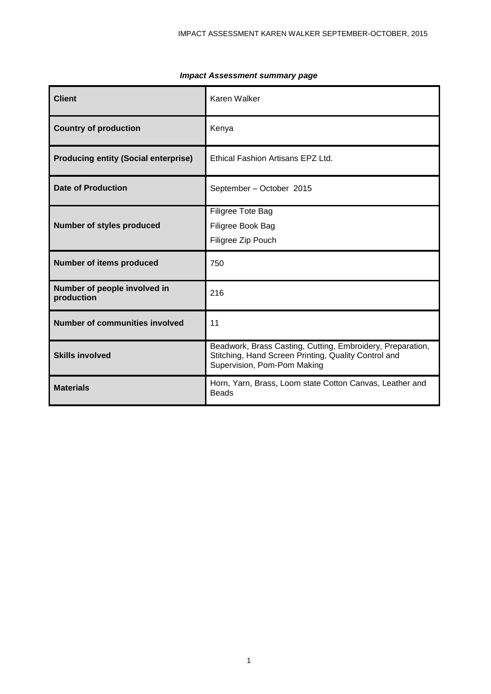| <b>Client</b>                               | Karen Walker                                                                                                                                      |
|---------------------------------------------|---------------------------------------------------------------------------------------------------------------------------------------------------|
| <b>Country of production</b>                | Kenya                                                                                                                                             |
| <b>Producing entity (Social enterprise)</b> | Ethical Fashion Artisans EPZ Ltd.                                                                                                                 |
| <b>Date of Production</b>                   | September - October 2015                                                                                                                          |
| Number of styles produced                   | Filigree Tote Bag<br>Filigree Book Bag<br>Filigree Zip Pouch                                                                                      |
| <b>Number of items produced</b>             | 750                                                                                                                                               |
| Number of people involved in<br>production  | 216                                                                                                                                               |
| <b>Number of communities involved</b>       | 11                                                                                                                                                |
| <b>Skills involved</b>                      | Beadwork, Brass Casting, Cutting, Embroidery, Preparation,<br>Stitching, Hand Screen Printing, Quality Control and<br>Supervision, Pom-Pom Making |
| <b>Materials</b>                            | Horn, Yarn, Brass, Loom state Cotton Canvas, Leather and<br><b>Beads</b>                                                                          |

#### *Impact Assessment summary page*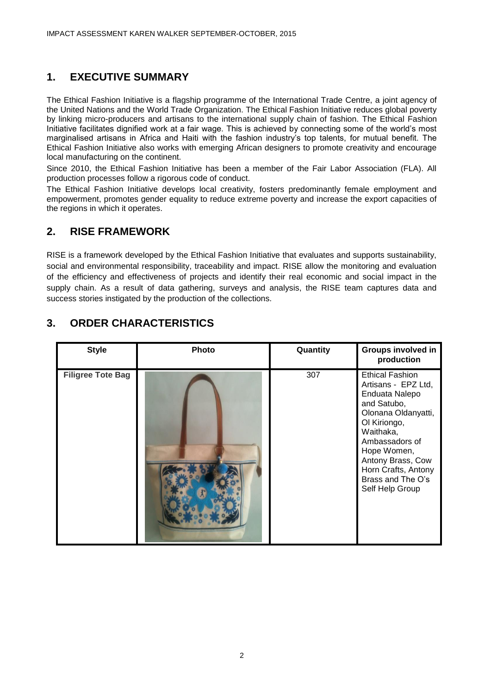#### <span id="page-3-0"></span>**1. EXECUTIVE SUMMARY**

The Ethical Fashion Initiative is a flagship programme of the International Trade Centre, a joint agency of the United Nations and the World Trade Organization. The Ethical Fashion Initiative reduces global poverty by linking micro-producers and artisans to the international supply chain of fashion. The Ethical Fashion Initiative facilitates dignified work at a fair wage. This is achieved by connecting some of the world's most marginalised artisans in Africa and Haiti with the fashion industry's top talents, for mutual benefit. The Ethical Fashion Initiative also works with emerging African designers to promote creativity and encourage local manufacturing on the continent.

Since 2010, the Ethical Fashion Initiative has been a member of the Fair Labor Association (FLA). All production processes follow a rigorous code of conduct.

The Ethical Fashion Initiative develops local creativity, fosters predominantly female employment and empowerment, promotes gender equality to reduce extreme poverty and increase the export capacities of the regions in which it operates.

#### <span id="page-3-1"></span>**2. RISE FRAMEWORK**

RISE is a framework developed by the Ethical Fashion Initiative that evaluates and supports sustainability, social and environmental responsibility, traceability and impact. RISE allow the monitoring and evaluation of the efficiency and effectiveness of projects and identify their real economic and social impact in the supply chain. As a result of data gathering, surveys and analysis, the RISE team captures data and success stories instigated by the production of the collections.

| <b>Style</b>             | Photo | Quantity | Groups involved in<br>production                                                                                                                                                                                                                        |
|--------------------------|-------|----------|---------------------------------------------------------------------------------------------------------------------------------------------------------------------------------------------------------------------------------------------------------|
| <b>Filigree Tote Bag</b> |       | 307      | <b>Ethical Fashion</b><br>Artisans - EPZ Ltd,<br>Enduata Nalepo<br>and Satubo,<br>Olonana Oldanyatti,<br>Ol Kiriongo,<br>Waithaka,<br>Ambassadors of<br>Hope Women,<br>Antony Brass, Cow<br>Horn Crafts, Antony<br>Brass and The O's<br>Self Help Group |

#### <span id="page-3-2"></span>**3. ORDER CHARACTERISTICS**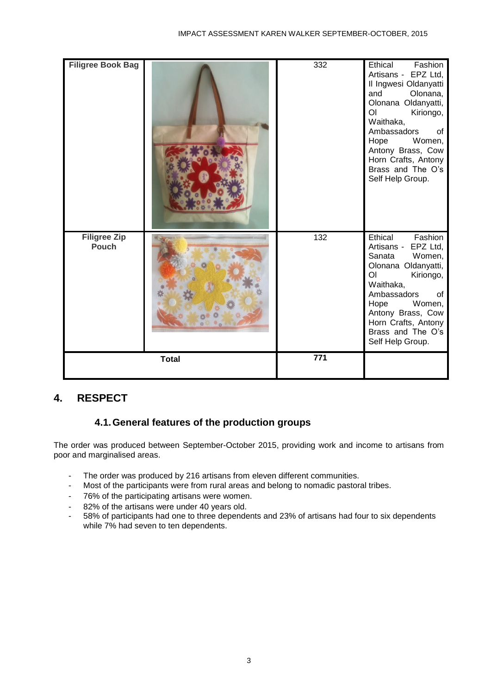| <b>Filigree Book Bag</b>            |              | 332              | Ethical<br>Fashion<br>Artisans - EPZ Ltd,<br>Il Ingwesi Oldanyatti<br>and<br>Olonana,<br>Olonana Oldanyatti,<br>O <sub>l</sub><br>Kiriongo,<br>Waithaka,<br>Ambassadors<br>of<br>Hope<br>Women,<br>Antony Brass, Cow<br>Horn Crafts, Antony<br>Brass and The O's<br>Self Help Group. |
|-------------------------------------|--------------|------------------|--------------------------------------------------------------------------------------------------------------------------------------------------------------------------------------------------------------------------------------------------------------------------------------|
| <b>Filigree Zip</b><br><b>Pouch</b> |              | 132              | Ethical<br>Fashion<br>EPZ Ltd,<br>Artisans -<br>Sanata<br>Women,<br>Olonana Oldanyatti,<br>O <sub>1</sub><br>Kiriongo,<br>Waithaka,<br>Ambassadors<br>0f<br>Hope<br>Women,<br>Antony Brass, Cow<br>Horn Crafts, Antony<br>Brass and The O's<br>Self Help Group.                      |
|                                     | <b>Total</b> | $\overline{771}$ |                                                                                                                                                                                                                                                                                      |

#### <span id="page-4-1"></span><span id="page-4-0"></span>**4. RESPECT**

#### **4.1.General features of the production groups**

The order was produced between September-October 2015, providing work and income to artisans from poor and marginalised areas.

- The order was produced by 216 artisans from eleven different communities.
- Most of the participants were from rural areas and belong to nomadic pastoral tribes.
- 76% of the participating artisans were women.
- 82% of the artisans were under 40 years old.
- 58% of participants had one to three dependents and 23% of artisans had four to six dependents while 7% had seven to ten dependents.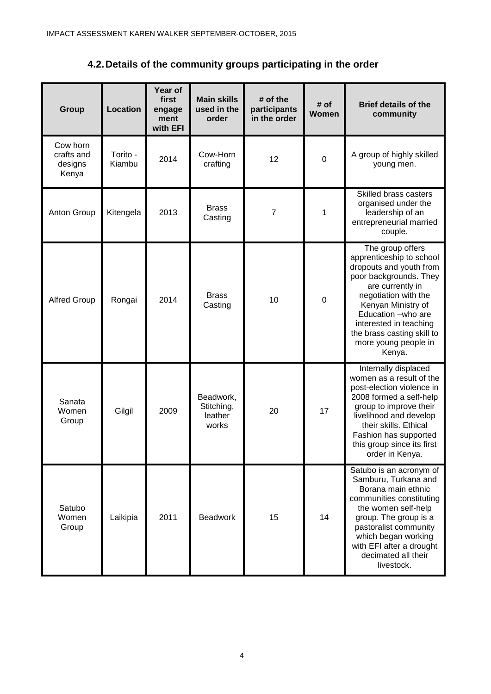**4.2.Details of the community groups participating in the order** 

<span id="page-5-0"></span>

| Group                                      | Location           | Year of<br>first<br>engage<br>ment<br>with EFI | <b>Main skills</b><br>used in the<br>order  | # of the<br>participants<br>in the order | # of<br>Women | <b>Brief details of the</b><br>community                                                                                                                                                                                                                                            |
|--------------------------------------------|--------------------|------------------------------------------------|---------------------------------------------|------------------------------------------|---------------|-------------------------------------------------------------------------------------------------------------------------------------------------------------------------------------------------------------------------------------------------------------------------------------|
| Cow horn<br>crafts and<br>designs<br>Kenya | Torito -<br>Kiambu | 2014                                           | Cow-Horn<br>crafting                        | 12                                       | $\mathbf 0$   | A group of highly skilled<br>young men.                                                                                                                                                                                                                                             |
| Anton Group                                | Kitengela          | 2013                                           | <b>Brass</b><br>Casting                     | 7                                        | 1             | Skilled brass casters<br>organised under the<br>leadership of an<br>entrepreneurial married<br>couple.                                                                                                                                                                              |
| <b>Alfred Group</b>                        | Rongai             | 2014                                           | <b>Brass</b><br>Casting                     | 10                                       | 0             | The group offers<br>apprenticeship to school<br>dropouts and youth from<br>poor backgrounds. They<br>are currently in<br>negotiation with the<br>Kenyan Ministry of<br>Education -who are<br>interested in teaching<br>the brass casting skill to<br>more young people in<br>Kenya. |
| Sanata<br>Women<br>Group                   | Gilgil             | 2009                                           | Beadwork,<br>Stitching,<br>leather<br>works | 20                                       | 17            | Internally displaced<br>women as a result of the<br>post-election violence in<br>2008 formed a self-help<br>group to improve their<br>livelihood and develop<br>their skills. Ethical<br>Fashion has supported<br>this group since its first<br>order in Kenya.                     |
| Satubo<br>Women<br>Group                   | Laikipia           | 2011                                           | <b>Beadwork</b>                             | 15                                       | 14            | Satubo is an acronym of<br>Samburu, Turkana and<br>Borana main ethnic<br>communities constituting<br>the women self-help<br>group. The group is a<br>pastoralist community<br>which began working<br>with EFI after a drought<br>decimated all their<br>livestock.                  |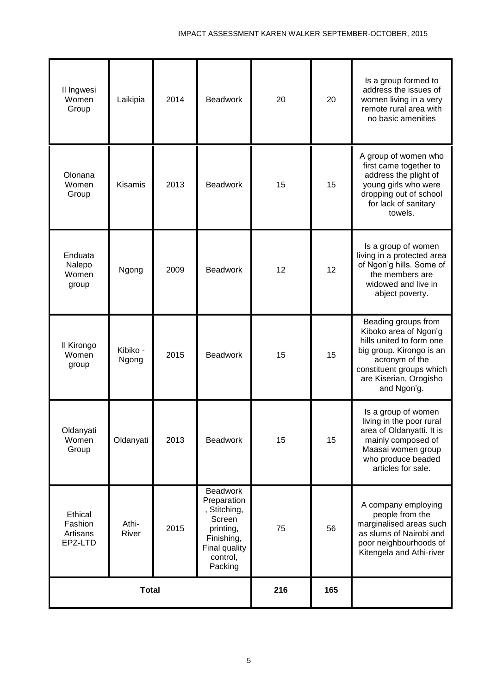| Il Ingwesi<br>Women<br>Group              | Laikipia          | 2014 | <b>Beadwork</b>                                                                                                             | 20  | 20  | Is a group formed to<br>address the issues of<br>women living in a very<br>remote rural area with<br>no basic amenities                                                                     |
|-------------------------------------------|-------------------|------|-----------------------------------------------------------------------------------------------------------------------------|-----|-----|---------------------------------------------------------------------------------------------------------------------------------------------------------------------------------------------|
| Olonana<br>Women<br>Group                 | <b>Kisamis</b>    | 2013 | <b>Beadwork</b>                                                                                                             | 15  | 15  | A group of women who<br>first came together to<br>address the plight of<br>young girls who were<br>dropping out of school<br>for lack of sanitary<br>towels.                                |
| Enduata<br>Nalepo<br>Women<br>group       | Ngong             | 2009 | <b>Beadwork</b>                                                                                                             | 12  | 12  | Is a group of women<br>living in a protected area<br>of Ngon'g hills. Some of<br>the members are<br>widowed and live in<br>abject poverty.                                                  |
| Il Kirongo<br>Women<br>group              | Kibiko -<br>Ngong | 2015 | <b>Beadwork</b>                                                                                                             | 15  | 15  | Beading groups from<br>Kiboko area of Ngon'g<br>hills united to form one<br>big group. Kirongo is an<br>acronym of the<br>constituent groups which<br>are Kiserian, Orogisho<br>and Ngon'g. |
| Oldanyati<br>Women<br>Group               | Oldanyati         | 2013 | <b>Beadwork</b>                                                                                                             | 15  | 15  | Is a group of women<br>living in the poor rural<br>area of Oldanyatti. It is<br>mainly composed of<br>Maasai women group<br>who produce beaded<br>articles for sale.                        |
| Ethical<br>Fashion<br>Artisans<br>EPZ-LTD | Athi-<br>River    | 2015 | <b>Beadwork</b><br>Preparation<br>, Stitching,<br>Screen<br>printing,<br>Finishing,<br>Final quality<br>control,<br>Packing | 75  | 56  | A company employing<br>people from the<br>marginalised areas such<br>as slums of Nairobi and<br>poor neighbourhoods of<br>Kitengela and Athi-river                                          |
| <b>Total</b>                              |                   |      |                                                                                                                             | 216 | 165 |                                                                                                                                                                                             |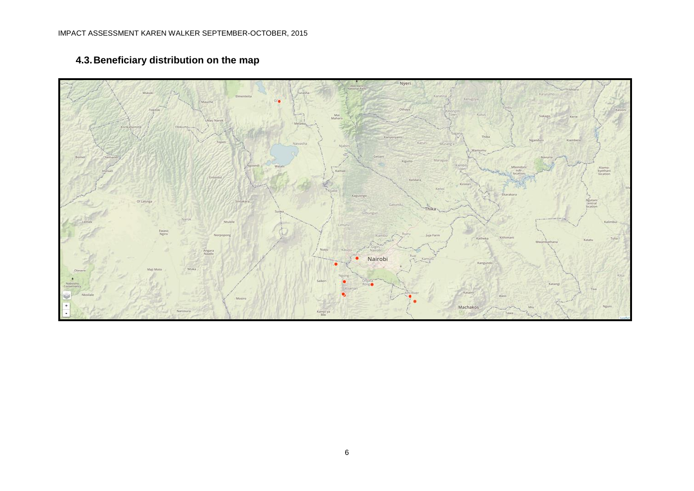## <span id="page-7-0"></span>Nyeri Kiomo-<br>lyethan **Of Laturiga Biks** Nairobi Machakos Kampi ya

#### **4.3.Beneficiary distribution on the map**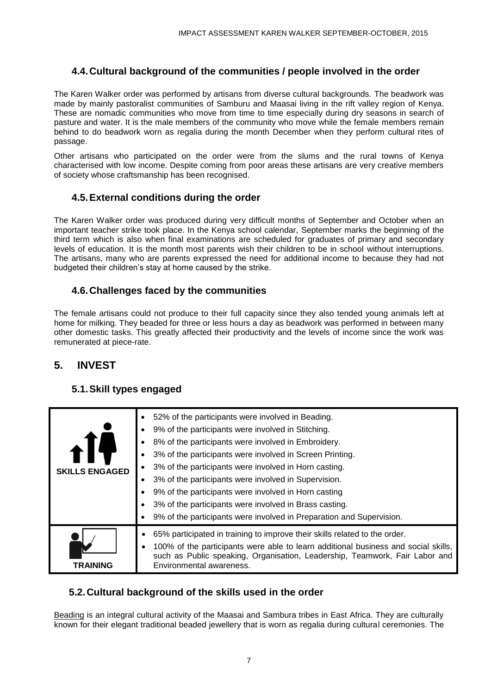#### <span id="page-8-0"></span>**4.4.Cultural background of the communities / people involved in the order**

The Karen Walker order was performed by artisans from diverse cultural backgrounds. The beadwork was made by mainly pastoralist communities of Samburu and Maasai living in the rift valley region of Kenya. These are nomadic communities who move from time to time especially during dry seasons in search of pasture and water. It is the male members of the community who move while the female members remain behind to do beadwork worn as regalia during the month December when they perform cultural rites of passage.

Other artisans who participated on the order were from the slums and the rural towns of Kenya characterised with low income. Despite coming from poor areas these artisans are very creative members of society whose craftsmanship has been recognised.

#### <span id="page-8-1"></span>**4.5.External conditions during the order**

The Karen Walker order was produced during very difficult months of September and October when an important teacher strike took place. In the Kenya school calendar, September marks the beginning of the third term which is also when final examinations are scheduled for graduates of primary and secondary levels of education. It is the month most parents wish their children to be in school without interruptions. The artisans, many who are parents expressed the need for additional income to because they had not budgeted their children's stay at home caused by the strike.

#### <span id="page-8-2"></span>**4.6.Challenges faced by the communities**

The female artisans could not produce to their full capacity since they also tended young animals left at home for milking. They beaded for three or less hours a day as beadwork was performed in between many other domestic tasks. This greatly affected their productivity and the levels of income since the work was remunerated at piece-rate.

#### <span id="page-8-3"></span>**5. INVEST**

#### <span id="page-8-4"></span>**5.1.Skill types engaged**

| <b>SKILLS ENGAGED</b> | 52% of the participants were involved in Beading.<br>9% of the participants were involved in Stitching.<br>8% of the participants were involved in Embroidery.<br>3% of the participants were involved in Screen Printing.<br>3% of the participants were involved in Horn casting.<br>3% of the participants were involved in Supervision.<br>9% of the participants were involved in Horn casting<br>3% of the participants were involved in Brass casting.<br>9% of the participants were involved in Preparation and Supervision. |
|-----------------------|---------------------------------------------------------------------------------------------------------------------------------------------------------------------------------------------------------------------------------------------------------------------------------------------------------------------------------------------------------------------------------------------------------------------------------------------------------------------------------------------------------------------------------------|
| TRAINING              | 65% participated in training to improve their skills related to the order.<br>100% of the participants were able to learn additional business and social skills,<br>٠<br>such as Public speaking, Organisation, Leadership, Teamwork, Fair Labor and<br>Environmental awareness.                                                                                                                                                                                                                                                      |

#### <span id="page-8-5"></span>**5.2.Cultural background of the skills used in the order**

Beading is an integral cultural activity of the Maasai and Sambura tribes in East Africa. They are culturally known for their elegant traditional beaded jewellery that is worn as regalia during cultural ceremonies. The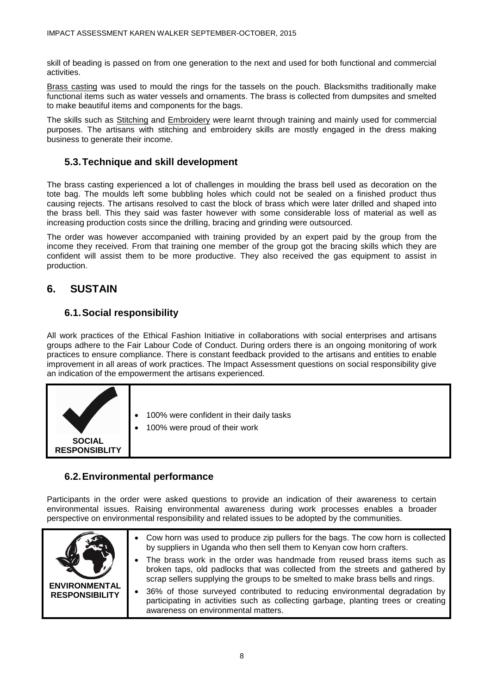skill of beading is passed on from one generation to the next and used for both functional and commercial activities.

Brass casting was used to mould the rings for the tassels on the pouch. Blacksmiths traditionally make functional items such as water vessels and ornaments. The brass is collected from dumpsites and smelted to make beautiful items and components for the bags.

The skills such as Stitching and Embroidery were learnt through training and mainly used for commercial purposes. The artisans with stitching and embroidery skills are mostly engaged in the dress making business to generate their income.

#### <span id="page-9-0"></span>**5.3.Technique and skill development**

The brass casting experienced a lot of challenges in moulding the brass bell used as decoration on the tote bag. The moulds left some bubbling holes which could not be sealed on a finished product thus causing rejects. The artisans resolved to cast the block of brass which were later drilled and shaped into the brass bell. This they said was faster however with some considerable loss of material as well as increasing production costs since the drilling, bracing and grinding were outsourced.

The order was however accompanied with training provided by an expert paid by the group from the income they received. From that training one member of the group got the bracing skills which they are confident will assist them to be more productive. They also received the gas equipment to assist in production.

#### <span id="page-9-1"></span>**6. SUSTAIN**

#### <span id="page-9-2"></span>**6.1.Social responsibility**

All work practices of the Ethical Fashion Initiative in collaborations with social enterprises and artisans groups adhere to the Fair Labour Code of Conduct. During orders there is an ongoing monitoring of work practices to ensure compliance. There is constant feedback provided to the artisans and entities to enable improvement in all areas of work practices. The Impact Assessment questions on social responsibility give an indication of the empowerment the artisans experienced.



#### <span id="page-9-3"></span>**6.2.Environmental performance**

Participants in the order were asked questions to provide an indication of their awareness to certain environmental issues. Raising environmental awareness during work processes enables a broader perspective on environmental responsibility and related issues to be adopted by the communities.

|                                               | • Cow horn was used to produce zip pullers for the bags. The cow horn is collected<br>by suppliers in Uganda who then sell them to Kenyan cow horn crafters.                                                                                 |  |  |  |  |
|-----------------------------------------------|----------------------------------------------------------------------------------------------------------------------------------------------------------------------------------------------------------------------------------------------|--|--|--|--|
|                                               | The brass work in the order was handmade from reused brass items such as<br>broken taps, old padlocks that was collected from the streets and gathered by<br>scrap sellers supplying the groups to be smelted to make brass bells and rings. |  |  |  |  |
| <b>ENVIRONMENTAL</b><br><b>RESPONSIBILITY</b> | 36% of those surveyed contributed to reducing environmental degradation by<br>participating in activities such as collecting garbage, planting trees or creating<br>awareness on environmental matters.                                      |  |  |  |  |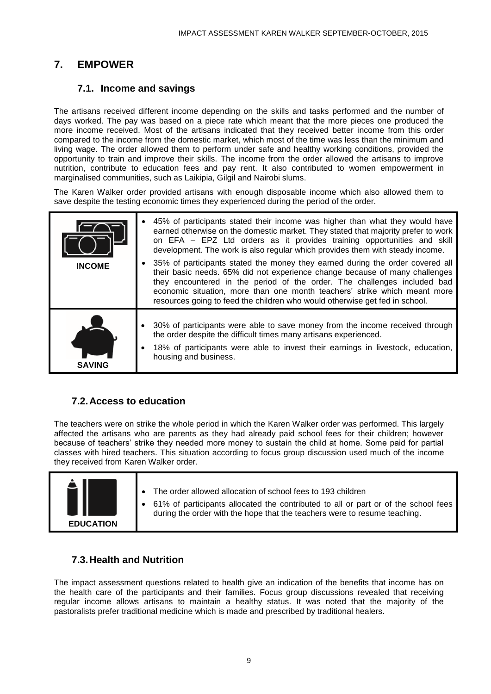#### <span id="page-10-0"></span>**7. EMPOWER**

#### **7.1. Income and savings**

<span id="page-10-1"></span>The artisans received different income depending on the skills and tasks performed and the number of days worked. The pay was based on a piece rate which meant that the more pieces one produced the more income received. Most of the artisans indicated that they received better income from this order compared to the income from the domestic market, which most of the time was less than the minimum and living wage. The order allowed them to perform under safe and healthy working conditions, provided the opportunity to train and improve their skills. The income from the order allowed the artisans to improve nutrition, contribute to education fees and pay rent. It also contributed to women empowerment in marginalised communities, such as Laikipia, Gilgil and Nairobi slums.

The Karen Walker order provided artisans with enough disposable income which also allowed them to save despite the testing economic times they experienced during the period of the order.

| <b>INCOME</b> | 45% of participants stated their income was higher than what they would have<br>earned otherwise on the domestic market. They stated that majority prefer to work<br>on EFA - EPZ Ltd orders as it provides training opportunities and skill<br>development. The work is also regular which provides them with steady income.<br>35% of participants stated the money they earned during the order covered all<br>their basic needs. 65% did not experience change because of many challenges |
|---------------|-----------------------------------------------------------------------------------------------------------------------------------------------------------------------------------------------------------------------------------------------------------------------------------------------------------------------------------------------------------------------------------------------------------------------------------------------------------------------------------------------|
|               | they encountered in the period of the order. The challenges included bad<br>economic situation, more than one month teachers' strike which meant more<br>resources going to feed the children who would otherwise get fed in school.                                                                                                                                                                                                                                                          |
| <b>SAVING</b> | • 30% of participants were able to save money from the income received through<br>the order despite the difficult times many artisans experienced.<br>18% of participants were able to invest their earnings in livestock, education,<br>housing and business.                                                                                                                                                                                                                                |

#### <span id="page-10-2"></span>**7.2.Access to education**

The teachers were on strike the whole period in which the Karen Walker order was performed. This largely affected the artisans who are parents as they had already paid school fees for their children; however because of teachers' strike they needed more money to sustain the child at home. Some paid for partial classes with hired teachers. This situation according to focus group discussion used much of the income they received from Karen Walker order.



#### <span id="page-10-3"></span>**7.3.Health and Nutrition**

The impact assessment questions related to health give an indication of the benefits that income has on the health care of the participants and their families. Focus group discussions revealed that receiving regular income allows artisans to maintain a healthy status. It was noted that the majority of the pastoralists prefer traditional medicine which is made and prescribed by traditional healers.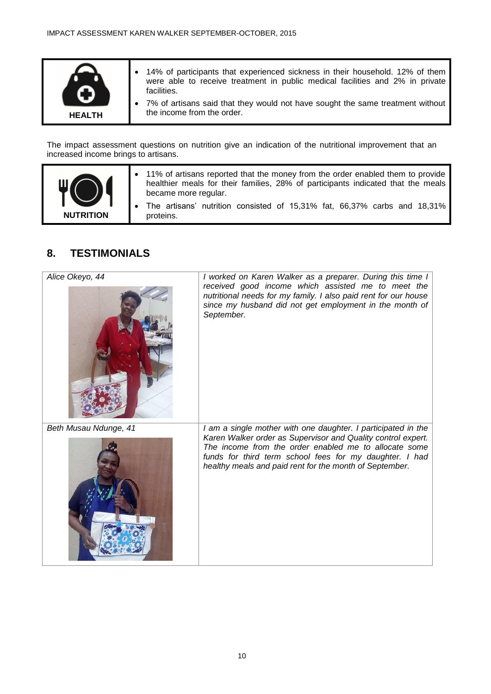

The impact assessment questions on nutrition give an indication of the nutritional improvement that an increased income brings to artisans.



- 11% of artisans reported that the money from the order enabled them to provide healthier meals for their families, 28% of participants indicated that the meals became more regular.
	- The artisans' nutrition consisted of 15,31% fat, 66,37% carbs and 18,31% proteins.

#### <span id="page-11-0"></span>**8. TESTIMONIALS**

<span id="page-11-1"></span>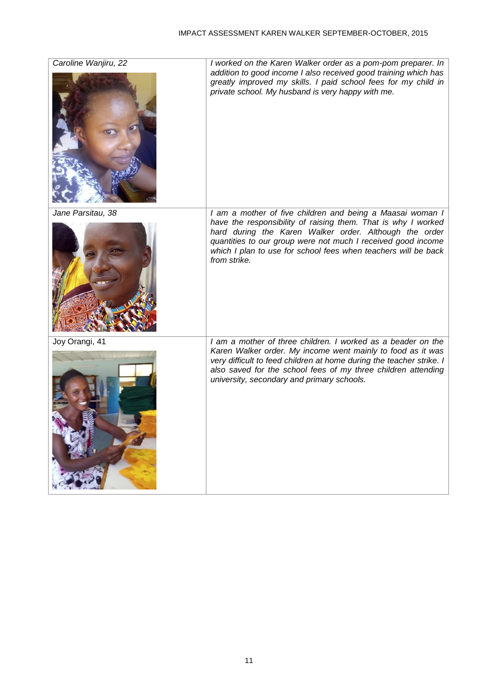| Caroline Wanjiru, 22 | I worked on the Karen Walker order as a pom-pom preparer. In<br>addition to good income I also received good training which has<br>greatly improved my skills. I paid school fees for my child in<br>private school. My husband is very happy with me.                                                                                 |
|----------------------|----------------------------------------------------------------------------------------------------------------------------------------------------------------------------------------------------------------------------------------------------------------------------------------------------------------------------------------|
| Jane Parsitau, 38    | I am a mother of five children and being a Maasai woman I<br>have the responsibility of raising them. That is why I worked<br>hard during the Karen Walker order. Although the order<br>quantities to our group were not much I received good income<br>which I plan to use for school fees when teachers will be back<br>from strike. |
| Joy Orangi, 41       | I am a mother of three children. I worked as a beader on the<br>Karen Walker order. My income went mainly to food as it was<br>very difficult to feed children at home during the teacher strike. I<br>also saved for the school fees of my three children attending<br>university, secondary and primary schools.                     |